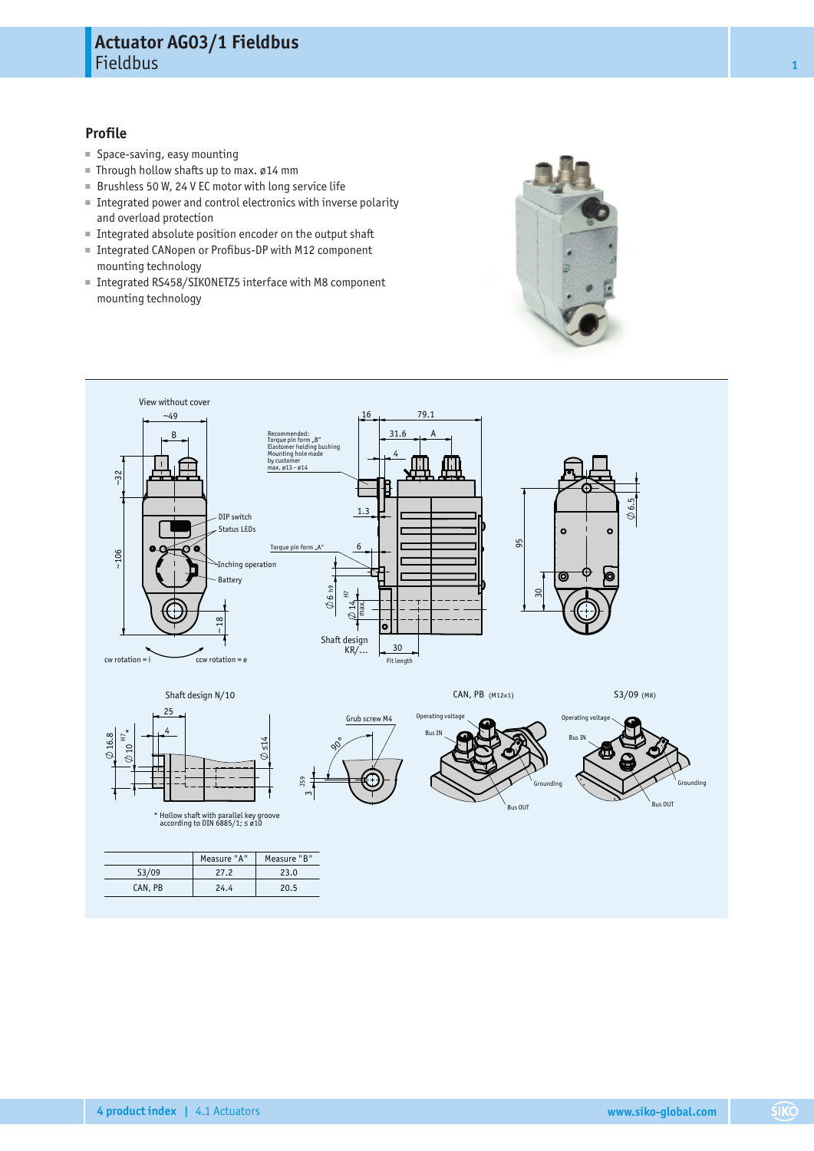## **Profile**

- Space-saving, easy mounting
- Through hollow shafts up to max. ø14 mm
- Brushless 50 W, 24 V EC motor with long service life
- Integrated power and control electronics with inverse polarity and overload protection
- Integrated absolute position encoder on the output shaft
- Integrated CANopen or Profibus-DP with M12 component mounting technology
- Integrated RS458/SIKONETZ5 interface with M8 component mounting technology



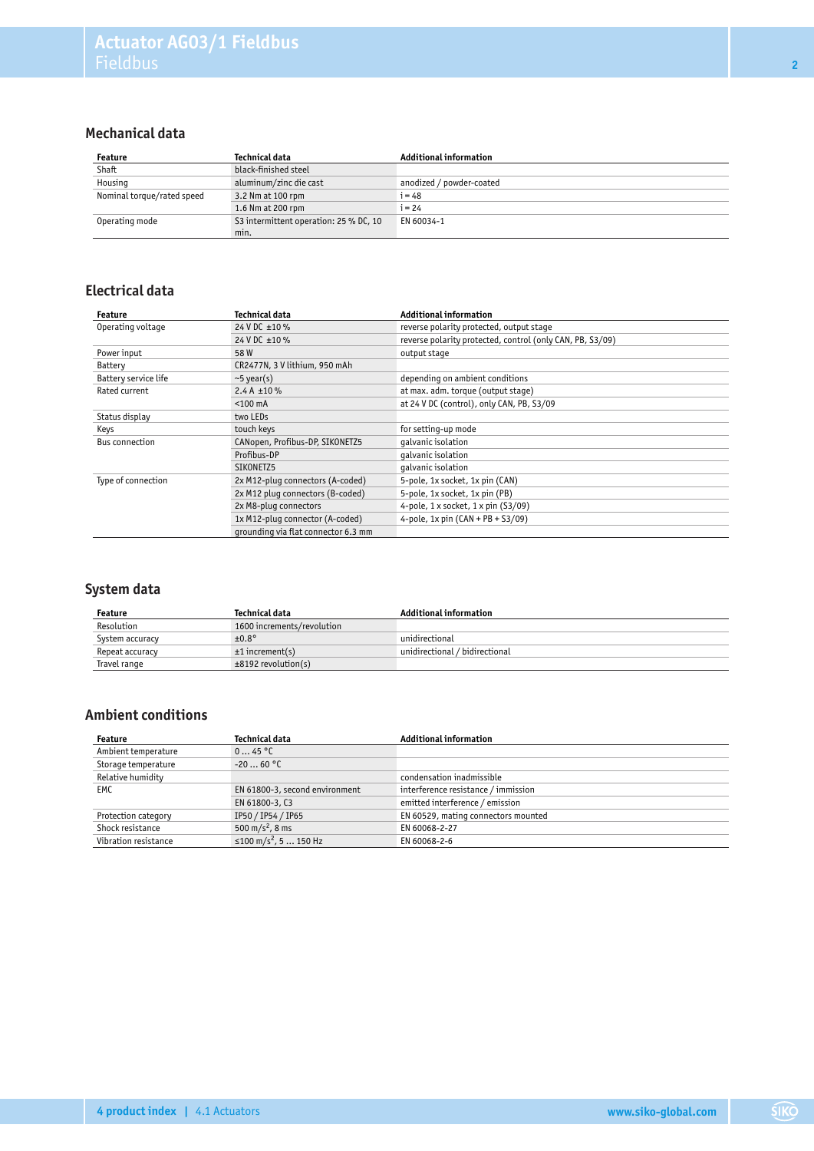# **Mechanical data**

| Feature                    | Technical data                         | <b>Additional information</b> |
|----------------------------|----------------------------------------|-------------------------------|
| Shaft                      | black-finished steel                   |                               |
| Housing                    | aluminum/zinc die cast                 | anodized / powder-coated      |
| Nominal torque/rated speed | 3.2 Nm at 100 rpm                      | $i = 48$                      |
|                            | 1.6 Nm at 200 rpm                      | $i = 24$                      |
| Operating mode             | S3 intermittent operation: 25 % DC, 10 | EN 60034-1                    |
|                            | min.                                   |                               |

## **Electrical data**

| Feature              | Technical data                      | <b>Additional information</b>                             |  |  |  |  |  |
|----------------------|-------------------------------------|-----------------------------------------------------------|--|--|--|--|--|
| Operating voltage    | 24 V DC ±10 %                       | reverse polarity protected, output stage                  |  |  |  |  |  |
|                      | 24 V DC ±10 %                       | reverse polarity protected, control (only CAN, PB, S3/09) |  |  |  |  |  |
| Power input          | 58W                                 | output stage                                              |  |  |  |  |  |
| Battery              | CR2477N, 3 V lithium, 950 mAh       |                                                           |  |  |  |  |  |
| Battery service life | $\sim$ 5 year(s)                    | depending on ambient conditions                           |  |  |  |  |  |
| Rated current        | 2.4 A $\pm 10 \%$                   | at max. adm. torque (output stage)                        |  |  |  |  |  |
|                      | $<$ 100 mA                          | at 24 V DC (control), only CAN, PB, S3/09                 |  |  |  |  |  |
| Status display       | two LEDs                            |                                                           |  |  |  |  |  |
| Keys                 | touch keys                          | for setting-up mode                                       |  |  |  |  |  |
| Bus connection       | CANopen, Profibus-DP, SIKONETZ5     | qalvanic isolation                                        |  |  |  |  |  |
|                      | Profibus-DP                         | galvanic isolation                                        |  |  |  |  |  |
|                      | SIKONETZ5                           | qalvanic isolation                                        |  |  |  |  |  |
| Type of connection   | 2x M12-pluq connectors (A-coded)    | 5-pole, 1x socket, 1x pin (CAN)                           |  |  |  |  |  |
|                      | 2x M12 plug connectors (B-coded)    | 5-pole, 1x socket, 1x pin (PB)                            |  |  |  |  |  |
|                      | 2x M8-plug connectors               | 4-pole, $1 \times$ socket, $1 \times$ pin (S3/09)         |  |  |  |  |  |
|                      | 1x M12-pluq connector (A-coded)     | 4-pole, $1x \text{ pin } (CAN + PB + S3/09)$              |  |  |  |  |  |
|                      | grounding via flat connector 6.3 mm |                                                           |  |  |  |  |  |

# **System data**

| Feature         | Technical data             | <b>Additional information</b>     |
|-----------------|----------------------------|-----------------------------------|
| Resolution      | 1600 increments/revolution |                                   |
| System accuracy | $±0.8^\circ$               | unidirectional                    |
| Repeat accuracy | $±1$ increment(s)          | unidirectional / bidirectional \, |
| Travel range    | $±8192$ revolution(s)      |                                   |

# **Ambient conditions**

| Feature              | Technical data                    | <b>Additional information</b>       |
|----------------------|-----------------------------------|-------------------------------------|
| Ambient temperature  | 045 °C                            |                                     |
| Storage temperature  | $-2060 °C$                        |                                     |
| Relative humidity    |                                   | condensation inadmissible           |
| <b>EMC</b>           | EN 61800-3, second environment    | interference resistance / immission |
|                      | EN 61800-3, C3                    | emitted interference / emission     |
| Protection category  | IP50 / IP54 / IP65                | EN 60529, mating connectors mounted |
| Shock resistance     | 500 m/s <sup>2</sup> , 8 ms       | EN 60068-2-27                       |
| Vibration resistance | ≤100 m/s <sup>2</sup> , 5  150 Hz | EN 60068-2-6                        |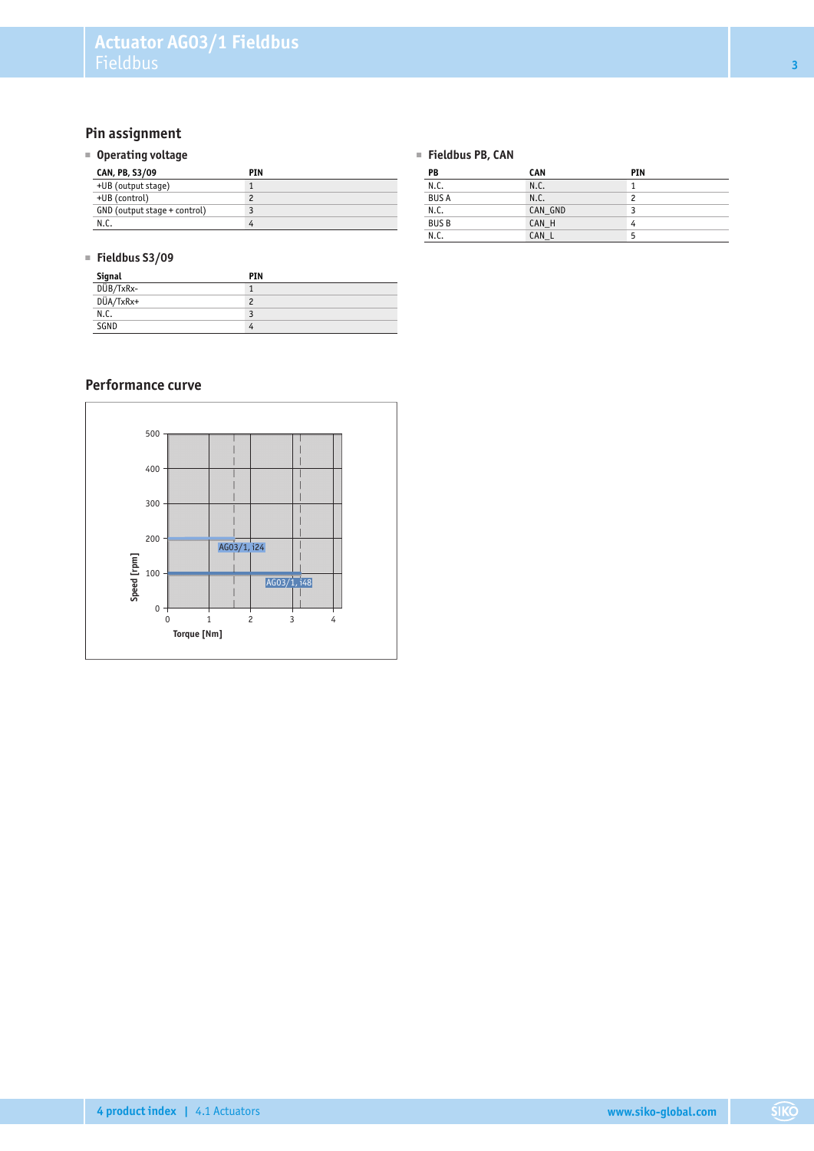# **Pin assignment**

#### ■ **Operating voltage**

| CAN, PB, S3/09               | PIN |
|------------------------------|-----|
| +UB (output stage)           |     |
| +UB (control)                |     |
| GND (output stage + control) |     |
| N.C.                         | 4   |

#### ■ **Fieldbus S3/09**

| Signal    | PIN |
|-----------|-----|
| DÜB/TxRx- |     |
| DÜA/TxRx+ |     |
| N.C.      |     |
| SGND      |     |

## **Performance curve**



#### ■ **Fieldbus PB, CAN**

| PB          | <b>CAN</b> | PIN |
|-------------|------------|-----|
| N.C.        | N.C.       |     |
| <b>BUSA</b> | N.C.       | 2   |
| N.C.        | CAN GND    |     |
| <b>BUSB</b> | CAN H      | 4   |
| N.C.        | CAN L      | 5   |